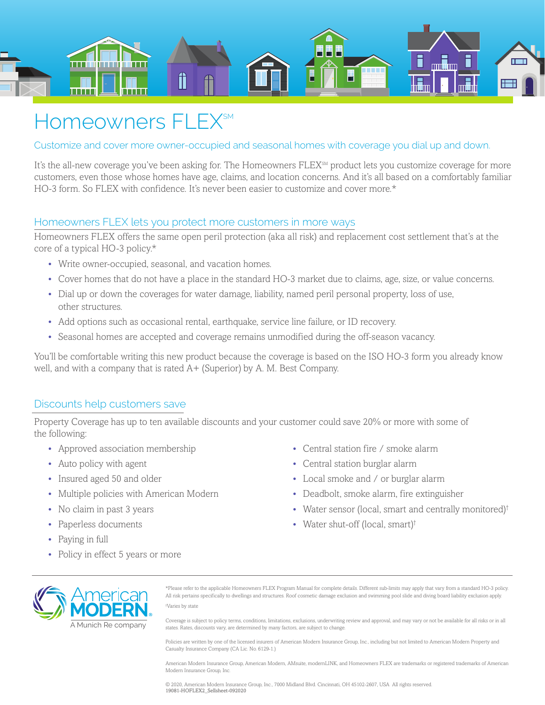

## Homeowners FLEX<sup>SM</sup>

Customize and cover more owner-occupied and seasonal homes with coverage you dial up and down.

It's the all-new coverage you've been asking for. The Homeowners FLEX<sup>SM</sup> product lets you customize coverage for more customers, even those whose homes have age, claims, and location concerns. And it's all based on a comfortably familiar HO-3 form. So FLEX with confidence. It's never been easier to customize and cover more.\*

## Homeowners FLEX lets you protect more customers in more ways

Homeowners FLEX offers the same open peril protection (aka all risk) and replacement cost settlement that's at the core of a typical HO-3 policy.\*

- Write owner-occupied, seasonal, and vacation homes.
- Cover homes that do not have a place in the standard HO-3 market due to claims, age, size, or value concerns.
- Dial up or down the coverages for water damage, liability, named peril personal property, loss of use, other structures.
- Add options such as occasional rental, earthquake, service line failure, or ID recovery.
- Seasonal homes are accepted and coverage remains unmodified during the off-season vacancy.

You'll be comfortable writing this new product because the coverage is based on the ISO HO-3 form you already know well, and with a company that is rated A+ (Superior) by A. M. Best Company.

## Discounts help customers save

Property Coverage has up to ten available discounts and your customer could save 20% or more with some of the following:

- Approved association membership
- Auto policy with agent
- Insured aged 50 and older
- Multiple policies with American Modern
- No claim in past 3 years
- Paperless documents
- Paying in full
- Policy in effect 5 years or more
- Central station fire / smoke alarm
- Central station burglar alarm
- Local smoke and / or burglar alarm
- Deadbolt, smoke alarm, fire extinguisher
- Water sensor (local, smart and centrally monitored)†
- Water shut-off (local, smart)†

A Munich Re company

\*Please refer to the applicable Homeowners FLEX Program Manual for complete details. Different sub-limits may apply that vary from a standard HO-3 policy. All risk pertains specifically to dwellings and structures. Roof cosmetic damage exclusion and swimming pool slide and diving board liability exclusion apply. † Varies by state

Coverage is subject to policy terms, conditions, limitations, exclusions, underwriting review and approval, and may vary or not be available for all risks or in all states. Rates, discounts vary, are determined by many factors, are subject to change.

Policies are written by one of the licensed insurers of American Modern Insurance Group, Inc., including but not limited to American Modern Property and Casualty Insurance Company (CA Lic. No. 6129-1.)

American Modern Insurance Group, American Modern, AMsuite, modernLINK, and Homeowners FLEX are trademarks or registered trademarks of American Modern Insurance Group, Inc.

© 2020, American Modern Insurance Group, Inc., 7000 Midland Blvd. Cincinnati, OH 45102-2607, USA All rights reserved. 19081-HOFLEX2\_Sellsheet-092020